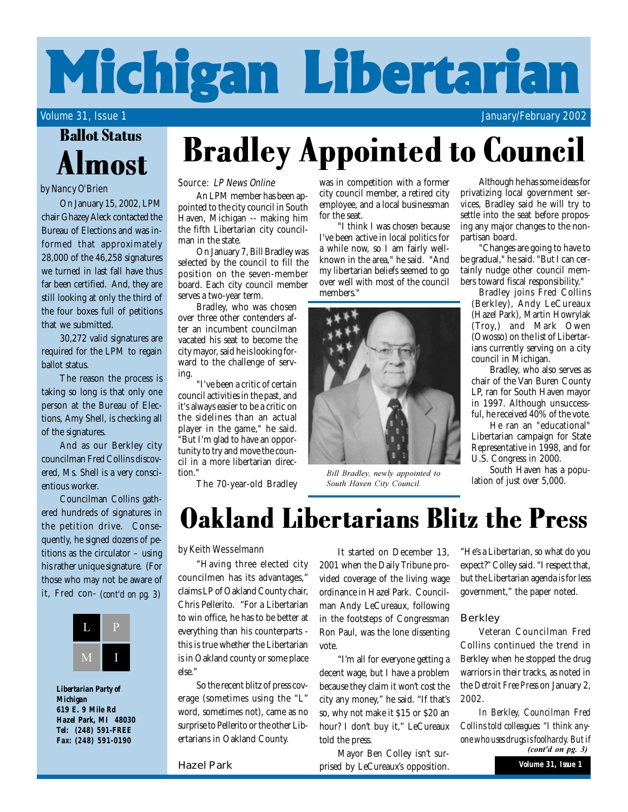# **Michigan Libertarian**

Volume 31, Issue 1 January/February 2002

## Almost Ballot Status

### by Nancy O'Brien

On January 15, 2002, LPM chair Ghazey Aleck contacted the Bureau of Elections and was informed that approximately 28,000 of the 46,258 signatures we turned in last fall have thus far been certified. And, they are still looking at only the third of the four boxes full of petitions that we submitted.

30,272 valid signatures are required for the LPM to regain ballot status.

The reason the process is taking so long is that only one person at the Bureau of Elections, Amy Shell, is checking all of the signatures.

And as our Berkley city councilman Fred Collins discovered, Ms. Shell is a very conscientious worker.

Councilman Collins gathered hundreds of signatures in the petition drive. Consequently, he signed dozens of petitions as the circulator – using his rather unique signature. (For those who may not be aware of it, Fred con- *(cont'd on pg. 3)*



*Libertarian Party of Michigan 619 E. 9 Mile Rd Hazel Park, MI 48030 Tel: (248) 591-FREE Fax: (248) 591-0190*

## Source: LP News Online

An LPM member has been appointed to the city council in South Haven, Michigan -- making him the fifth Libertarian city councilman in the state.

On January 7, Bill Bradley was selected by the council to fill the position on the seven-member board. Each city council member serves a two-year term.

Bradley, who was chosen over three other contenders after an incumbent councilman vacated his seat to become the city mayor, said he is looking forward to the challenge of serving.

"I've been a critic of certain council activities in the past, and it's always easier to be a critic on the sidelines than an actual player in the game," he said. "But I'm glad to have an opportunity to try and move the council in a more libertarian direction."

The 70-year-old Bradley

was in competition with a former city council member, a retired city employee, and a local businessman for the seat.

Bradley Appointed to Council

"I think I was chosen because I've been active in local politics for a while now, so I am fairly wellknown in the area," he said. "And my libertarian beliefs seemed to go over well with most of the council members."



Bill Bradley, newly appointed to **South Haven City Council.** 

Although he has some ideas for privatizing local government services, Bradley said he will try to settle into the seat before proposing any major changes to the nonpartisan board.

"Changes are going to have to be gradual," he said. "But I can certainly nudge other council members toward fiscal responsibility."

Bradley joins Fred Collins (Berkley), Andy LeCureaux (Hazel Park), Martin Howrylak (Troy,) and Mark Owen (Owosso) on the list of Libertarians currently serving on a city council in Michigan.

Bradley, who also serves as chair of the Van Buren County LP, ran for South Haven mayor in 1997. Although unsuccessful, he received 40% of the vote.

He ran an "educational" Libertarian campaign for State Representative in 1998, and for U.S. Congress in 2000.

South Haven has a population of just over 5,000.

## Oakland Libertarians Blitz the Press

#### by Keith Wesselmann

"Having three elected city councilmen has its advantages," claims LP of Oakland County chair, Chris Pellerito. "For a Libertarian to win office, he has to be better at everything than his counterparts this is true whether the Libertarian is in Oakland county or some place else."

So the recent blitz of press coverage (sometimes using the "L" word, sometimes not), came as no surprise to Pellerito or the other Libertarians in Oakland County.

Hazel Park

It started on December 13, 2001 when the Daily Tribune provided coverage of the living wage ordinance in Hazel Park. Councilman Andy LeCureaux, following in the footsteps of Congressman Ron Paul, was the lone dissenting vote.

"I'm all for everyone getting a decent wage, but I have a problem because they claim it won't cost the city any money," he said. "If that's so, why not make it \$15 or \$20 an hour? I don't buy it," LeCureaux told the press.

Mayor Ben Colley isn't surprised by LeCureaux's opposition. "He's a Libertarian, so what do you expect?" Colley said. "I respect that, but the Libertarian agenda is for less government," the paper noted.

### **Berkley**

Veteran Councilman Fred Collins continued the trend in Berkley when he stopped the drug warriors in their tracks, as noted in the *Detroit Free Press* on January 2, 2002.

*In Berkley, Councilman Fred Collins told colleagues: "I think anyone who uses drugs is foolhardy. But if (cont'd on pg. 3)*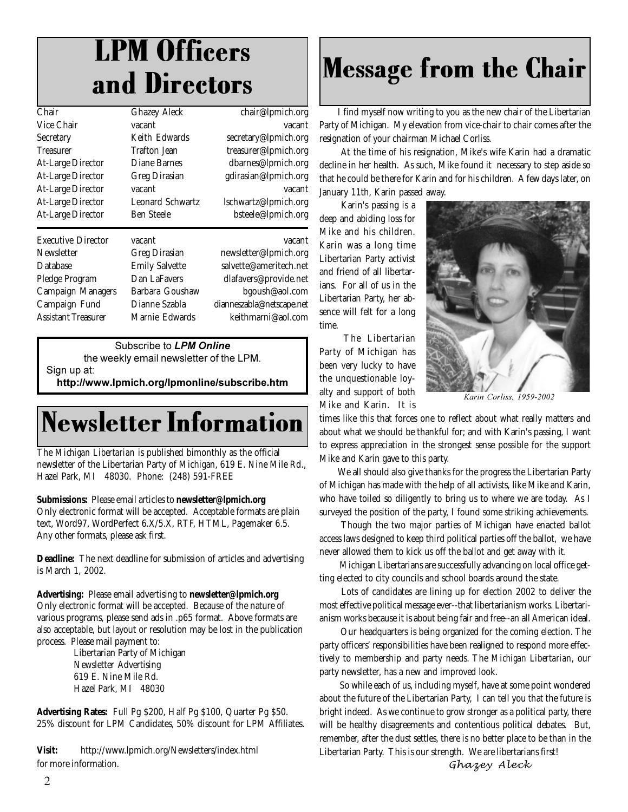## LPM Officers and Directors

| Chair                     | <b>Ghazey Aleck</b>     | chair@lpmich.org          |
|---------------------------|-------------------------|---------------------------|
| Vice Chair                | vacant                  | vacant                    |
| Secretary                 | Keith Edwards           | secretary@lpmich.org      |
| <b>Treasurer</b>          | Trafton Jean            | treasurer@lpmich.org      |
| <b>At-Large Director</b>  | Diane Barnes            | dbarnes@lpmich.org        |
| <b>At-Large Director</b>  | <b>Greg Dirasian</b>    | gdirasian@lpmich.org      |
| <b>At-Large Director</b>  | vacant                  | vacant                    |
| <b>At-Large Director</b>  | <b>Leonard Schwartz</b> | lschwartz@lpmich.org      |
| <b>At-Large Director</b>  | Ben Steele              | bsteele@lpmich.org        |
| <b>Executive Director</b> | vacant                  | vacant                    |
| Newsletter                | <b>Greg Dirasian</b>    | newsletter@lpmich.org     |
| Database                  | <b>Emily Salvette</b>   | salvette@ameritech.net    |
| Pledge Program            | Dan LaFavers            | dlafavers@provide.net     |
| Campaign Managers         | Barbara Goushaw         | bgoush@aol.com            |
| Campaign Fund             | Dianne Szabla           | dianneszabla@netscape.net |
| Assistant Treasurer       | Marnie Edwards          | keithmarni@aol.com        |
|                           |                         |                           |

Subscribe to **LPM Online** 

the weekly email newsletter of the LPM. Sign up at: http://www.lpmich.org/lpmonline/subscribe.htm

## Newsletter Information

The *Michigan Libertarian* is published bimonthly as the official newsletter of the Libertarian Party of Michigan, 619 E. Nine Mile Rd., Hazel Park, MI 48030. Phone: (248) 591-FREE

#### **Submissions:** Please email articles to **newsletter@lpmich.org**

Only electronic format will be accepted. Acceptable formats are plain text, Word97, WordPerfect 6.X/5.X, RTF, HTML, Pagemaker 6.5. Any other formats, please ask first.

**Deadline:** The next deadline for submission of articles and advertising is March 1, 2002.

**Advertising:** Please email advertising to **newsletter@lpmich.org** Only electronic format will be accepted. Because of the nature of various programs, please send ads in .p65 format. Above formats are also acceptable, but layout or resolution may be lost in the publication process. Please mail payment to:

Libertarian Party of Michigan Newsletter Advertising 619 E. Nine Mile Rd. Hazel Park, MI 48030

**Advertising Rates:** Full Pg \$200, Half Pg \$100, Quarter Pg \$50. 25% discount for LPM Candidates, 50% discount for LPM Affiliates.

**Visit:** http://www.lpmich.org/Newsletters/index.html for more information.

## Message from the Chair

I find myself now writing to you as the new chair of the Libertarian Party of Michigan. My elevation from vice-chair to chair comes after the resignation of your chairman Michael Corliss.

 At the time of his resignation, Mike's wife Karin had a dramatic decline in her health. As such, Mike found it necessary to step aside so that he could be there for Karin and for his children. A few days later, on January 11th, Karin passed away.

 Karin's passing is a deep and abiding loss for Mike and his children. Karin was a long time Libertarian Party activist and friend of all libertarians. For all of us in the Libertarian Party, her absence will felt for a long time.

 The Libertarian Party of Michigan has been very lucky to have the unquestionable loyalty and support of both Mike and Karin. It is



*--* 

times like this that forces one to reflect about what really matters and about what we should be thankful for; and with Karin's passing, I want to express appreciation in the strongest sense possible for the support Mike and Karin gave to this party.

We all should also give thanks for the progress the Libertarian Party of Michigan has made with the help of all activists, like Mike and Karin, who have toiled so diligently to bring us to where we are today. As I surveyed the position of the party, I found some striking achievements.

 Though the two major parties of Michigan have enacted ballot access laws designed to keep third political parties off the ballot, we have never allowed them to kick us off the ballot and get away with it.

 Michigan Libertarians are successfully advancing on local office getting elected to city councils and school boards around the state.

 Lots of candidates are lining up for election 2002 to deliver the most effective political message ever--that libertarianism works. Libertarianism works because it is about being fair and free--an all American ideal.

 Our headquarters is being organized for the coming election. The party officers' responsibilities have been realigned to respond more effectively to membership and party needs. The *Michigan Libertarian*, our party newsletter, has a new and improved look.

 So while each of us, including myself, have at some point wondered about the future of the Libertarian Party, I can tell you that the future is bright indeed. As we continue to grow stronger as a political party, there will be healthy disagreements and contentious political debates. But, remember, after the dust settles, there is no better place to be than in the Libertarian Party. This is our strength. We are libertarians first!

*Ghazer* Aleck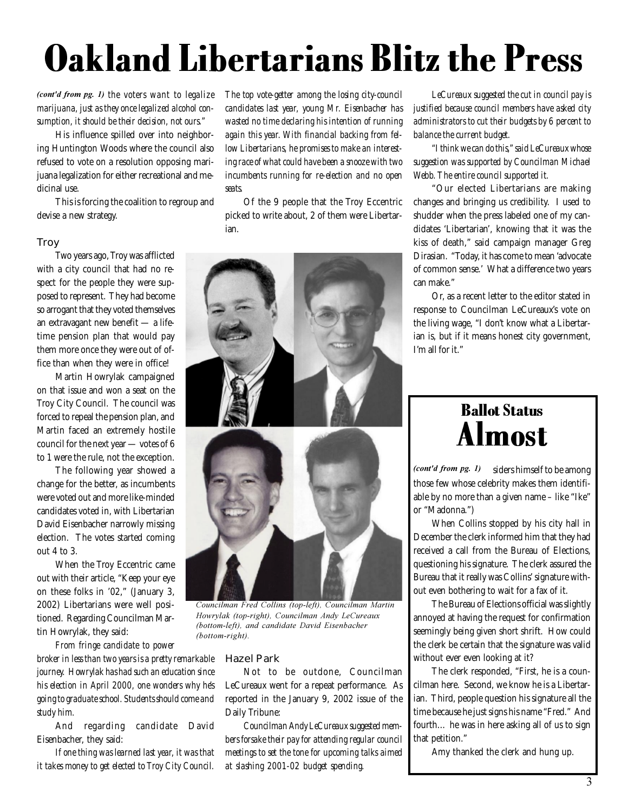## Oakland Libertarians Blitz the Press

(cont'd from pg. 1) the voters want to legalize *marijuana, just as they once legalized alcohol consumption, it should be their decision, not ours."*

His influence spilled over into neighboring Huntington Woods where the council also refused to vote on a resolution opposing marijuana legalization for either recreational and medicinal use.

This is forcing the coalition to regroup and devise a new strategy.

## **Troy**

Two years ago, Troy was afflicted with a city council that had no respect for the people they were supposed to represent. They had become so arrogant that they voted themselves an extravagant new benefit — a lifetime pension plan that would pay them more once they were out of office than when they were in office!

Martin Howrylak campaigned on that issue and won a seat on the Troy City Council. The council was forced to repeal the pension plan, and Martin faced an extremely hostile council for the next year — votes of 6 to 1 were the rule, not the exception.

The following year showed a change for the better, as incumbents were voted out and more like-minded candidates voted in, with Libertarian David Eisenbacher narrowly missing election. The votes started coming out 4 to 3.

When the Troy Eccentric came out with their article, "Keep your eye on these folks in '02," (January 3, 2002) Libertarians were well positioned. Regarding Councilman Martin Howrylak, they said:

*From fringe candidate to power broker in less than two years is a pretty remarkable journey. Howrylak has had such an education since his election in April 2000, one wonders why he's going to graduate school. Students should come and study him.*

And regarding candidate David Eisenbacher, they said:

*If one thing was learned last year, it was that it takes money to get elected to Troy City Council.*

*The top vote-getter among the losing city-council candidates last year, young Mr. Eisenbacher has wasted no time declaring his intention of running again this year. With financial backing from fellow Libertarians, he promises to make an interesting race of what could have been a snooze with two incumbents running for re-election and no open seats.*

Of the 9 people that the Troy Eccentric picked to write about, 2 of them were Libertarian.



Councilman Fred Collins (top-left), Councilman Martin *Howrylak (top-right), Councilman Andy LeCureaux* (bottom-left), and candidate David Eisenbacher *(bottom-right).* 

### Hazel Park

Not to be outdone, Councilman LeCureaux went for a repeat performance. As reported in the January 9, 2002 issue of the Daily Tribune:

*Councilman Andy LeCureaux suggested members forsake their pay for attending regular council meetings to set the tone for upcoming talks aimed at slashing 2001-02 budget spending.*

*LeCureaux suggested the cut in council pay is justified because council members have asked city administrators to cut their budgets by 6 percent to balance the current budget.*

*"I think we can do this," said LeCureaux whose suggestion was supported by Councilman Michael Webb. The entire council supported it.*

"Our elected Libertarians are making changes and bringing us credibility. I used to shudder when the press labeled one of my candidates 'Libertarian', knowing that it was the kiss of death," said campaign manager Greg Dirasian. "Today, it has come to mean 'advocate of common sense.' What a difference two years can make."

Or, as a recent letter to the editor stated in response to Councilman LeCureaux's vote on the living wage, "I don't know what a Libertarian is, but if it means honest city government, I'm all for it."

## Ballot Status Almost

*(cont'd from pg. 1)* siders himself to be among those few whose celebrity makes them identifiable by no more than a given name – like "Ike" or "Madonna.")

When Collins stopped by his city hall in December the clerk informed him that they had received a call from the Bureau of Elections, questioning his signature. The clerk assured the Bureau that it really was Collins' signature without even bothering to wait for a fax of it.

The Bureau of Elections official was slightly annoyed at having the request for confirmation seemingly being given short shrift. How could the clerk be certain that the signature was valid without ever even looking at it?

The clerk responded, "First, he is a councilman here. Second, we know he is a Libertarian. Third, people question his signature all the time because he just signs his name "Fred." And fourth… he was in here asking all of us to sign that petition."

Amy thanked the clerk and hung up.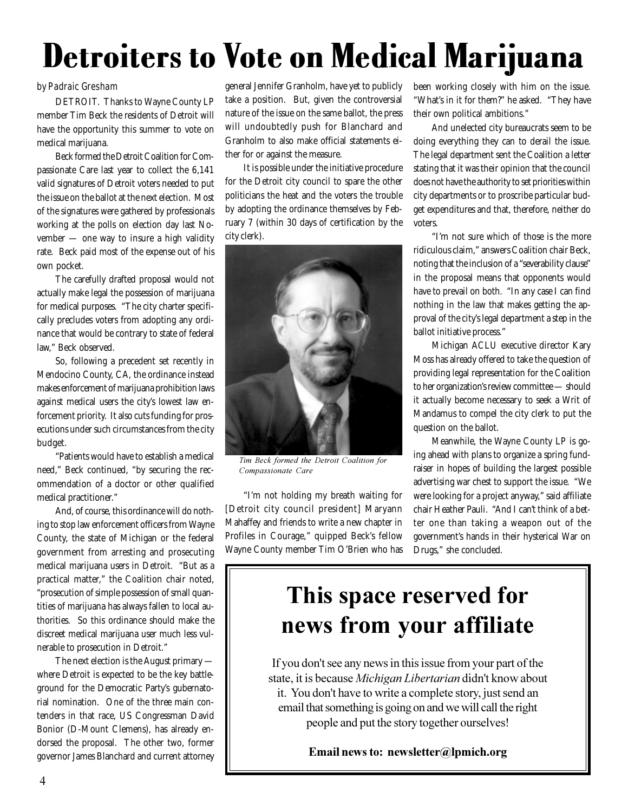## Detroiters to Vote on Medical Marijuana

DETROIT. Thanks to Wayne County LP member Tim Beck the residents of Detroit will have the opportunity this summer to vote on medical marijuana.

Beck formed the Detroit Coalition for Compassionate Care last year to collect the 6,141 valid signatures of Detroit voters needed to put the issue on the ballot at the next election. Most of the signatures were gathered by professionals working at the polls on election day last November — one way to insure a high validity rate. Beck paid most of the expense out of his own pocket.

The carefully drafted proposal would not actually make legal the possession of marijuana for medical purposes. "The city charter specifically precludes voters from adopting any ordinance that would be contrary to state of federal law," Beck observed.

So, following a precedent set recently in Mendocino County, CA, the ordinance instead makes enforcement of marijuana prohibition laws against medical users the city's lowest law enforcement priority. It also cuts funding for prosecutions under such circumstances from the city budget.

"Patients would have to establish a medical need," Beck continued, "by securing the recommendation of a doctor or other qualified medical practitioner."

And, of course, this ordinance will do nothing to stop law enforcement officers from Wayne County, the state of Michigan or the federal government from arresting and prosecuting medical marijuana users in Detroit. "But as a practical matter," the Coalition chair noted, "prosecution of simple possession of small quantities of marijuana has always fallen to local authorities. So this ordinance should make the discreet medical marijuana user much less vulnerable to prosecution in Detroit."

The next election is the August primary where Detroit is expected to be the key battleground for the Democratic Party's gubernatorial nomination. One of the three main contenders in that race, US Congressman David Bonior (D-Mount Clemens), has already endorsed the proposal. The other two, former governor James Blanchard and current attorney

general Jennifer Granholm, have yet to publicly take a position. But, given the controversial nature of the issue on the same ballot, the press will undoubtedly push for Blanchard and Granholm to also make official statements either for or against the measure. by Padraic Gresham states of the same peneral Jennifer Granholm, have yet to publicly been working closely with him on the issue.

> It is possible under the initiative procedure for the Detroit city council to spare the other politicians the heat and the voters the trouble by adopting the ordinance themselves by February 7 (within 30 days of certification by the city clerk).



*Tim Beck formed the Detroit Coalition for* Compassionate Care

"I'm not holding my breath waiting for [Detroit city council president] Maryann Mahaffey and friends to write a new chapter in Profiles in Courage," quipped Beck's fellow Wayne County member Tim O'Brien who has "What's in it for them?" he asked. "They have their own political ambitions."

And unelected city bureaucrats seem to be doing everything they can to derail the issue. The legal department sent the Coalition a letter stating that it was their opinion that the council does not have the authority to set priorities within city departments or to proscribe particular budget expenditures and that, therefore, neither do voters.

"I'm not sure which of those is the more ridiculous claim," answers Coalition chair Beck, noting that the inclusion of a "severability clause" in the proposal means that opponents would have to prevail on both. "In any case I can find nothing in the law that makes getting the approval of the city's legal department a step in the ballot initiative process."

Michigan ACLU executive director Kary Moss has already offered to take the question of providing legal representation for the Coalition to her organization's review committee — should it actually become necessary to seek a Writ of Mandamus to compel the city clerk to put the question on the ballot.

Meanwhile, the Wayne County LP is going ahead with plans to organize a spring fundraiser in hopes of building the largest possible advertising war chest to support the issue. "We were looking for a project anyway," said affiliate chair Heather Pauli. "And I can't think of a better one than taking a weapon out of the government's hands in their hysterical War on Drugs," she concluded.

## **This space reserved for news from your affiliate**

If you don't see any news in this issue from your part of the state, it is because *Michigan Libertarian* didn't know about it. You don't have to write a complete story, just send an email that something is going on and we will call the right people and put the story together ourselves!

Email news to: newsletter@lpmich.org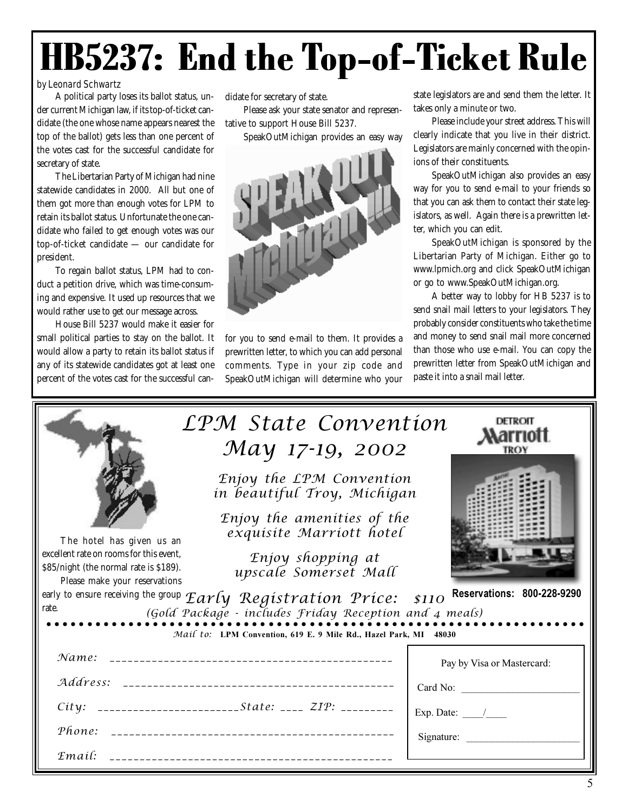## HB5237: End the Top-of-Ticket Rule

## by Leonard Schwartz

A political party loses its ballot status, under current Michigan law, if its top-of-ticket candidate (the one whose name appears nearest the top of the ballot) gets less than one percent of the votes cast for the successful candidate for secretary of state.

The Libertarian Party of Michigan had nine statewide candidates in 2000. All but one of them got more than enough votes for LPM to retain its ballot status. Unfortunate the one candidate who failed to get enough votes was our top-of-ticket candidate — our candidate for president.

To regain ballot status, LPM had to conduct a petition drive, which was time-consuming and expensive. It used up resources that we would rather use to get our message across.

House Bill 5237 would make it easier for small political parties to stay on the ballot. It would allow a party to retain its ballot status if any of its statewide candidates got at least one percent of the votes cast for the successful can-

didate for secretary of state.

Please ask your state senator and representative to support House Bill 5237.

SpeakOutMichigan provides an easy way



for you to send e-mail to them. It provides a prewritten letter, to which you can add personal comments. Type in your zip code and SpeakOutMichigan will determine who your state legislators are and send them the letter. It takes only a minute or two.

Please include your street address. This will clearly indicate that you live in their district. Legislators are mainly concerned with the opinions of their constituents.

SpeakOutMichigan also provides an easy way for you to send e-mail to your friends so that you can ask them to contact their state legislators, as well. Again there is a prewritten letter, which you can edit.

SpeakOutMichigan is sponsored by the Libertarian Party of Michigan. Either go to www.lpmich.org and click SpeakOutMichigan or go to www.SpeakOutMichigan.org.

A better way to lobby for HB 5237 is to send snail mail letters to your legislators. They probably consider constituents who take the time and money to send snail mail more concerned than those who use e-mail. You can copy the prewritten letter from SpeakOutMichigan and paste it into a snail mail letter.

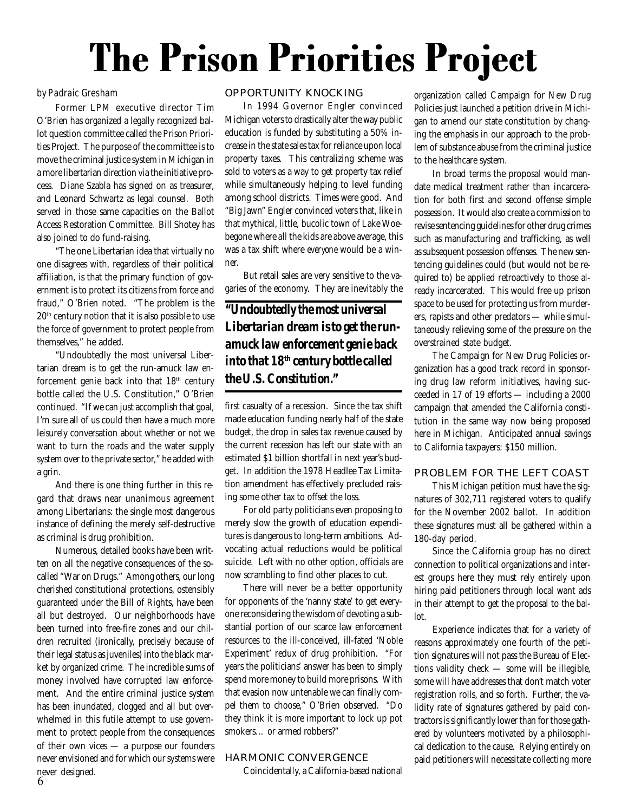## The Prison Priorities Project

#### by Padraic Gresham

Former LPM executive director Tim O'Brien has organized a legally recognized ballot question committee called the Prison Priorities Project. The purpose of the committee is to move the criminal justice system in Michigan in a more libertarian direction via the initiative process. Diane Szabla has signed on as treasurer, and Leonard Schwartz as legal counsel. Both served in those same capacities on the Ballot Access Restoration Committee. Bill Shotey has also joined to do fund-raising.

"The one Libertarian idea that virtually no one disagrees with, regardless of their political affiliation, is that the primary function of government is to protect its citizens from force and fraud," O'Brien noted. "The problem is the 20th century notion that it is also possible to use the force of government to protect people from themselves," he added.

"Undoubtedly the most universal Libertarian dream is to get the run-amuck law enforcement genie back into that 18th century bottle called the U.S. Constitution," O'Brien continued. "If we can just accomplish that goal, I'm sure all of us could then have a much more leisurely conversation about whether or not we want to turn the roads and the water supply system over to the private sector," he added with a grin.

And there is one thing further in this regard that draws near unanimous agreement among Libertarians: the single most dangerous instance of defining the merely self-destructive as criminal is drug prohibition.

Numerous, detailed books have been written on all the negative consequences of the socalled "War on Drugs." Among others, our long cherished constitutional protections, ostensibly guaranteed under the Bill of Rights, have been all but destroyed. Our neighborhoods have been turned into free-fire zones and our children recruited (ironically, precisely because of their legal status as juveniles) into the black market by organized crime. The incredible sums of money involved have corrupted law enforcement. And the entire criminal justice system has been inundated, clogged and all but overwhelmed in this futile attempt to use government to protect people from the consequences of their own vices — a purpose our founders never envisioned and for which our systems were never designed.

## OPPORTUNITY KNOCKING

In 1994 Governor Engler convinced Michigan voters to drastically alter the way public education is funded by substituting a 50% increase in the state sales tax for reliance upon local property taxes. This centralizing scheme was sold to voters as a way to get property tax relief while simultaneously helping to level funding among school districts. Times were good. And "Big Jawn" Engler convinced voters that, like in that mythical, little, bucolic town of Lake Woebegone where *all* the kids are above average, this was a tax shift where *everyone* would be a winner.

But retail sales are very sensitive to the vagaries of the economy. They are inevitably the

*"Undoubtedly the most universal Libertarian dream is to get the runamuck law enforcement genie back into that 18th century bottle called the U.S. Constitution."*

first casualty of a recession. Since the tax shift made education funding nearly half of the state budget, the drop in sales tax revenue caused by the current recession has left our state with an estimated \$1 billion shortfall in next year's budget. In addition the 1978 Headlee Tax Limitation amendment has effectively precluded raising some other tax to offset the loss.

For old party politicians even proposing to merely slow the growth of education expenditures is dangerous to long-term ambitions. Advocating actual reductions would be political suicide. Left with no other option, officials are now scrambling to find other places to cut.

There will never be a better opportunity for opponents of the 'nanny state' to get everyone reconsidering the wisdom of devoting a substantial portion of our scarce law enforcement resources to the ill-conceived, ill-fated 'Noble Experiment' redux of drug prohibition. "For years the politicians' answer has been to simply spend more money to build more prisons. With that evasion now untenable we can finally compel them to choose," O'Brien observed. "Do they think it is more important to lock up pot smokers… or armed robbers?"

#### HARMONIC CONVERGENCE

Coincidentally, a California-based national

organization called Campaign for New Drug Policies just launched a petition drive in Michigan to amend our state constitution by changing the emphasis in our approach to the problem of substance abuse from the criminal justice to the healthcare system.

In broad terms the proposal would mandate medical treatment rather than incarceration for both first and second offense simple possession. It would also create a commission to revise sentencing guidelines for other drug crimes such as manufacturing and trafficking, as well as subsequent possession offenses. The new sentencing guidelines could (but would not be required to) be applied retroactively to those already incarcerated. This would free up prison space to be used for protecting us from murderers, rapists and other predators — while simultaneously relieving some of the pressure on the overstrained state budget.

The Campaign for New Drug Policies organization has a good track record in sponsoring drug law reform initiatives, having succeeded in 17 of 19 efforts — including a 2000 campaign that amended the California constitution in the same way now being proposed here in Michigan. Anticipated annual savings to California taxpayers: \$150 million.

## PROBLEM FOR THE LEFT COAST

This Michigan petition must have the signatures of 302,711 registered voters to qualify for the November 2002 ballot. In addition these signatures must all be gathered within a 180-day period.

Since the California group has no direct connection to political organizations and interest groups here they must rely entirely upon hiring paid petitioners through local want ads in their attempt to get the proposal to the ballot.

Experience indicates that for a variety of reasons approximately one fourth of the petition signatures will not pass the Bureau of Elections validity check — some will be illegible, some will have addresses that don't match voter registration rolls, and so forth. Further, the validity rate of signatures gathered by paid contractors is significantly lower than for those gathered by volunteers motivated by a philosophical dedication to the cause. Relying entirely on paid petitioners will necessitate collecting more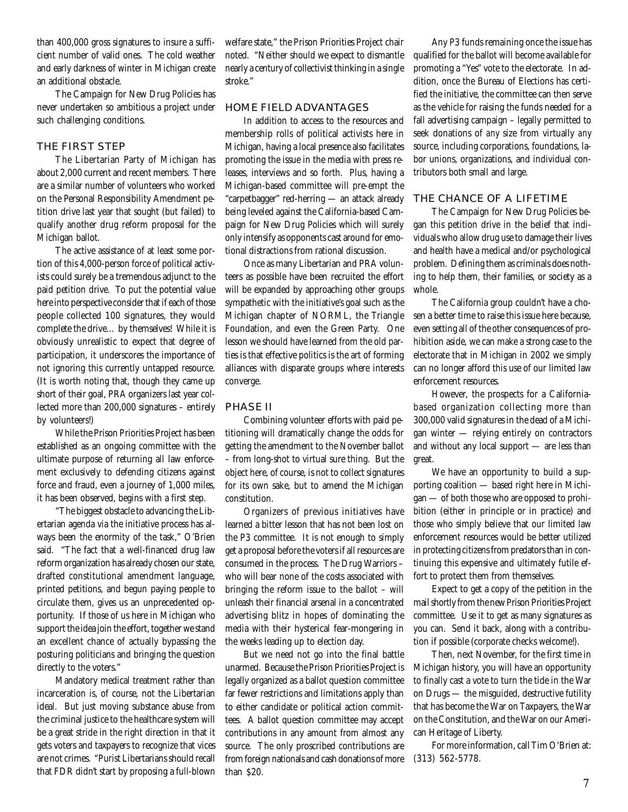than 400,000 gross signatures to insure a sufficient number of valid ones. The cold weather and early darkness of winter in Michigan create an additional obstacle.

The Campaign for New Drug Policies has never undertaken so ambitious a project under such challenging conditions.

## THE FIRST STEP

The Libertarian Party of Michigan has about 2,000 current and recent members. There are a similar number of volunteers who worked on the Personal Responsibility Amendment petition drive last year that sought (but failed) to qualify another drug reform proposal for the Michigan ballot.

The active assistance of at least some portion of this 4,000-person force of political activists could surely be a tremendous adjunct to the paid petition drive. To put the potential value here into perspective consider that if each of those people collected 100 signatures, they would complete the drive… by themselves! While it is obviously unrealistic to expect that degree of participation, it underscores the importance of not ignoring this currently untapped resource. (It is worth noting that, though they came up short of their goal, PRA organizers last year collected more than 200,000 signatures – entirely by volunteers!)

While the Prison Priorities Project has been established as an ongoing committee with the ultimate purpose of returning all law enforcement exclusively to defending citizens against force and fraud, even a journey of 1,000 miles, it has been observed, begins with a first step.

"The biggest obstacle to advancing the Libertarian agenda via the initiative process has always been the enormity of the task," O'Brien said. "The fact that a well-financed drug law reform organization has already chosen our state, drafted constitutional amendment language, printed petitions, and begun paying people to circulate them, gives us an unprecedented opportunity. If those of us here in Michigan who support the idea join the effort, together we stand an excellent chance of actually bypassing the posturing politicians and bringing the question directly to the voters."

Mandatory medical treatment rather than incarceration is, of course, not the Libertarian ideal. But just moving substance abuse from the criminal justice to the healthcare system will be a great stride in the right direction in that it gets voters and taxpayers to recognize that vices are not crimes. "Purist Libertarians should recall that FDR didn't start by proposing a full-blown welfare state," the Prison Priorities Project chair noted. "Neither should we expect to dismantle nearly a century of collectivist thinking in a single stroke."

### HOME FIELD ADVANTAGES

In addition to access to the resources and membership rolls of political activists here in Michigan, having a local presence also facilitates promoting the issue in the media with press releases, interviews and so forth. Plus, having a Michigan-based committee will pre-empt the "carpetbagger" red-herring — an attack already being leveled against the California-based Campaign for New Drug Policies which will surely only intensify as opponents cast around for emotional distractions from rational discussion.

Once as many Libertarian and PRA volunteers as possible have been recruited the effort will be expanded by approaching other groups sympathetic with the initiative's goal such as the Michigan chapter of NORML, the Triangle Foundation, and even the Green Party. One lesson we should have learned from the old parties is that effective politics is the art of forming alliances with disparate groups where interests converge.

#### PHASE II

Combining volunteer efforts with paid petitioning will dramatically change the odds for getting the amendment to the November ballot – from long-shot to virtual sure thing. But the object here, of course, is not to collect signatures for its own sake, but to amend the Michigan constitution.

Organizers of previous initiatives have learned a bitter lesson that has not been lost on the P3 committee. It is not enough to simply get a proposal before the voters if all resources are consumed in the process. The Drug Warriors – who will bear none of the costs associated with bringing the reform issue to the ballot – will unleash their financial arsenal in a concentrated advertising blitz in hopes of dominating the media with their hysterical fear-mongering in the weeks leading up to election day.

But we need not go into the final battle unarmed. Because the Prison Priorities Project is legally organized as a ballot question committee far fewer restrictions and limitations apply than to either candidate or political action committees. A ballot question committee may accept contributions in any amount from almost any source. The only proscribed contributions are from foreign nationals and cash donations of more than \$20.

Any P3 funds remaining once the issue has qualified for the ballot will become available for promoting a "Yes" vote to the electorate. In addition, once the Bureau of Elections has certified the initiative, the committee can then serve as the vehicle for raising the funds needed for a fall advertising campaign – legally permitted to seek donations of *any* size from virtually *any* source, including corporations, foundations, labor unions, organizations, and individual contributors both small and large.

## THE CHANCE OF A LIFETIME

The Campaign for New Drug Policies began this petition drive in the belief that individuals who allow drug use to damage their lives and health have a medical and/or psychological problem. Defining them as criminals does nothing to help them, their families, or society as a whole.

The California group couldn't have a chosen a better time to raise this issue here because, even setting all of the other consequences of prohibition aside, we can make a strong case to the electorate that in Michigan in 2002 we simply can no longer afford this use of our limited law enforcement resources.

However, the prospects for a Californiabased organization collecting more than 300,000 valid signatures in the dead of a Michigan winter — relying entirely on contractors and without any local support — are less than great.

We have an opportunity to build a supporting coalition — based right here in Michigan — of both those who are opposed to prohibition (either in principle or in practice) and those who simply believe that our limited law enforcement resources would be better utilized in protecting citizens from predators than in continuing this expensive and ultimately futile effort to protect them from themselves.

Expect to get a copy of the petition in the mail shortly from the new Prison Priorities Project committee. Use it to get as many signatures as you can. Send it back, along with a contribution if possible (corporate checks welcome!).

Then, next November, for the first time in Michigan history, you will have an opportunity to finally cast a vote to turn the tide in the War on Drugs — the misguided, destructive futility that has become the War on Taxpayers, the War on the Constitution, and the War on our American Heritage of Liberty.

For more information, call Tim O'Brien at: (313) 562-5778.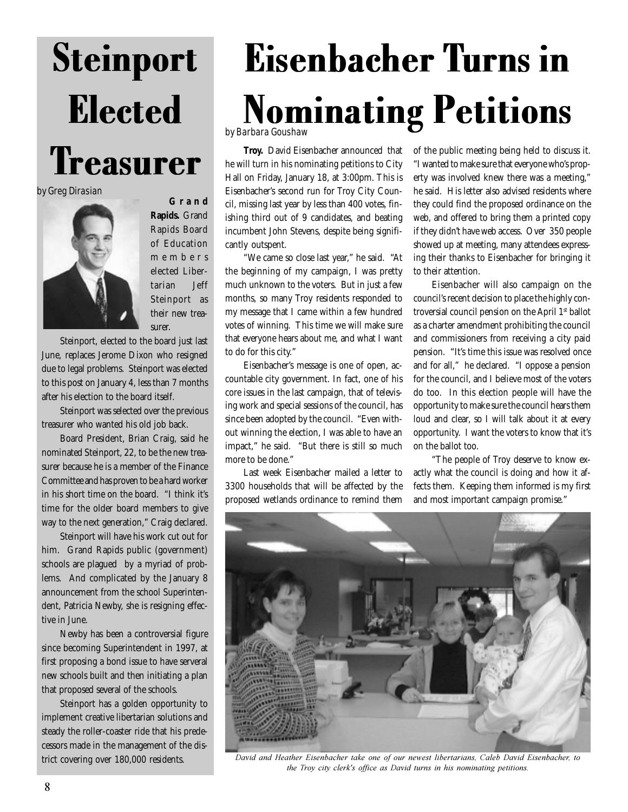

by Greg Dirasian



**Grand Rapids.** Grand Rapids Board of Education members elected Libertarian Jeff Steinport as their new treasurer.

Steinport, elected to the board just last June, replaces Jerome Dixon who resigned due to legal problems. Steinport was elected to this post on January 4, less than 7 months after his election to the board itself.

Steinport was selected over the previous treasurer who wanted his old job back.

Board President, Brian Craig, said he nominated Steinport, 22, to be the new treasurer because he is a member of the Finance Committee and has proven to be a hard worker in his short time on the board. "I think it's time for the older board members to give way to the next generation," Craig declared.

Steinport will have his work cut out for him. Grand Rapids public (government) schools are plagued by a myriad of problems. And complicated by the January 8 announcement from the school Superintendent, Patricia Newby, she is resigning effective in June.

Newby has been a controversial figure since becoming Superintendent in 1997, at first proposing a bond issue to have serveral new schools built and then initiating a plan that proposed several of the schools.

Steinport has a golden opportunity to implement creative libertarian solutions and steady the roller-coaster ride that his predecessors made in the management of the district covering over 180,000 residents.

# Eisenbacher Turns in **Nominating Petitions**

**Troy.** David Eisenbacher announced that he will turn in his nominating petitions to City Hall on Friday, January 18, at 3:00pm. This is Eisenbacher's second run for Troy City Council, missing last year by less than 400 votes, finishing third out of 9 candidates, and beating incumbent John Stevens, despite being significantly outspent.

"We came so close last year," he said. "At the beginning of my campaign, I was pretty much unknown to the voters. But in just a few months, so many Troy residents responded to my message that I came within a few hundred votes of winning. This time we will make sure that everyone hears about me, and what I want to do for this city."

Eisenbacher's message is one of open, accountable city government. In fact, one of his core issues in the last campaign, that of televising work and special sessions of the council, has since been adopted by the council. "Even without winning the election, I was able to have an impact," he said. "But there is still so much more to be done."

Last week Eisenbacher mailed a letter to 3300 households that will be affected by the proposed wetlands ordinance to remind them of the public meeting being held to discuss it. "I wanted to make sure that everyone who's property was involved knew there was a meeting," he said. His letter also advised residents where they could find the proposed ordinance on the web, and offered to bring them a printed copy if they didn't have web access. Over 350 people showed up at meeting, many attendees expressing their thanks to Eisenbacher for bringing it to their attention.

Eisenbacher will also campaign on the council's recent decision to place the highly controversial council pension on the April 1st ballot as a charter amendment prohibiting the council and commissioners from receiving a city paid pension. "It's time this issue was resolved once and for all," he declared. "I oppose a pension for the council, and I believe most of the voters do too. In this election people will have the opportunity to make sure the council hears them loud and clear, so I will talk about it at every opportunity. I want the voters to know that it's on the ballot too.

"The people of Troy deserve to know exactly what the council is doing and how it affects them. Keeping them informed is my first and most important campaign promise."



David and Heather Eisenbacher take one of our newest libertarians, Caleb David Eisenbacher, to *the Troy city clerk's office as David turns in his nominating petitions.*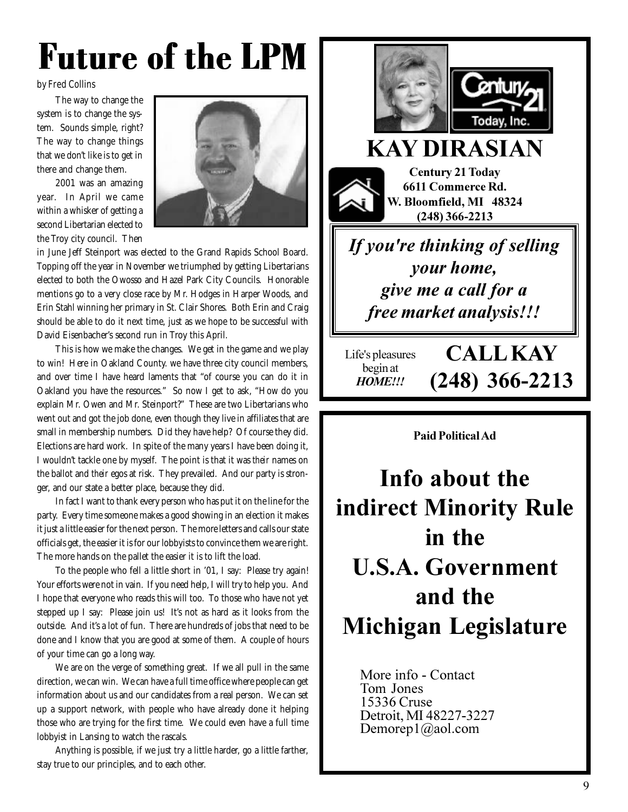## Future of the LPM

## by Fred Collins

The way to change the system is to change the system. Sounds simple, right? The way to change things that we don't like is to get in there and change them.

2001 was an amazing year. In April we came within a whisker of getting a second Libertarian elected to the Troy city council. Then



in June Jeff Steinport was elected to the Grand Rapids School Board. Topping off the year in November we triumphed by getting Libertarians elected to both the Owosso and Hazel Park City Councils. Honorable mentions go to a very close race by Mr. Hodges in Harper Woods, and Erin Stahl winning her primary in St. Clair Shores. Both Erin and Craig should be able to do it next time, just as we hope to be successful with David Eisenbacher's second run in Troy this April.

This is how we make the changes. We get in the game and we play to win! Here in Oakland County. we have three city council members, and over time I have heard laments that "of course you can do it in Oakland you have the resources." So now I get to ask, "How do you explain Mr. Owen and Mr. Steinport?" These are two Libertarians who went out and got the job done, even though they live in affiliates that are small in membership numbers. Did they have help? Of course they did. Elections are hard work. In spite of the many years I have been doing it, I wouldn't tackle one by myself. The point is that it was *their* names on the ballot and *their* egos at risk. They prevailed. And our party is stronger, and our state a better place, because they did.

In fact I want to thank every person who has put it on the line for the party. Every time someone makes a good showing in an election it makes it just a little easier for the next person. The more letters and calls our state officials get, the easier it is for our lobbyists to convince them we are right. The more hands on the pallet the easier it is to lift the load.

To the people who fell a little short in '01, I say: Please try again! Your efforts were not in vain. If you need help, I will try to help you. And I hope that everyone who reads this will too. To those who have not yet stepped up I say: Please join us! It's not as hard as it looks from the outside. And it's a lot of fun. There are hundreds of jobs that need to be done and I know that you are good at some of them. A couple of hours of your time can go a long way.

We are on the verge of something great. If we all pull in the same direction, we can win. We can have a full time office where people can get information about us and our candidates from a real person. We can set up a support network, with people who have already done it helping those who are trying for the first time. We could even have a full time lobbyist in Lansing to watch the rascals.

Anything is possible, if we just try a little harder, go a little farther, stay true to our principles, and to each other.



## **KAY DIRASIAN**

Century 21 Today **6611 Commerce Rd.** W. Bloomfield, MI 48324 **(248)** 366-2213

If you're thinking of selling *<u>your home,</u>* give me a call for a free market analysis!!!

Life's pleasures begin at **HOME!!!** 

 $\bf{CALL}$ **KAY**  $(248)$  366-2213

**Paid Political Ad** 

Info about the indirect Minority Rule in the U.S.A. Government and the **Michigan Legislature** 

> More info - Contact <del>There mie</del><br>Tom Jones 15336 Cruse Detroit, MI 48227-3227  $D$  en org  $\alpha$  1  $\alpha$  and  $\alpha$  com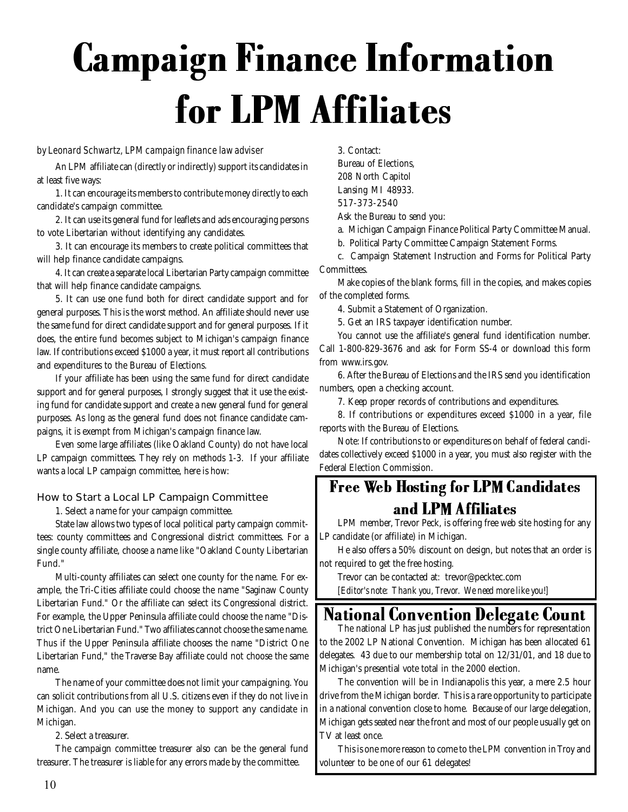## Campaign Finance Information for LPM Affiliates

### by Leonard Schwartz, LPM campaign finance law adviser

An LPM affiliate can (directly or indirectly) support its candidates in at least five ways:

1. It can encourage its members to contribute money directly to each candidate's campaign committee.

2. It can use its general fund for leaflets and ads encouraging persons to vote Libertarian without identifying any candidates.

3. It can encourage its members to create political committees that will help finance candidate campaigns.

4. It can create a separate local Libertarian Party campaign committee that will help finance candidate campaigns.

5. It can use one fund both for direct candidate support and for general purposes. This is the worst method. An affiliate should never use the same fund for direct candidate support and for general purposes. If it does, the entire fund becomes subject to Michigan's campaign finance law. If contributions exceed \$1000 a year, it must report all contributions and expenditures to the Bureau of Elections.

If your affiliate has been using the same fund for direct candidate support and for general purposes, I strongly suggest that it use the existing fund for candidate support and create a new general fund for general purposes. As long as the general fund does not finance candidate campaigns, it is exempt from Michigan's campaign finance law.

Even some large affiliates (like Oakland County) do not have local LP campaign committees. They rely on methods 1-3. If your affiliate wants a local LP campaign committee, here is how:

### How to Start a Local LP Campaign Committee

1. Select a name for your campaign committee.

State law allows two types of local political party campaign committees: county committees and Congressional district committees. For a single county affiliate, choose a name like "Oakland County Libertarian Fund."

Multi-county affiliates can select one county for the name. For example, the Tri-Cities affiliate could choose the name "Saginaw County Libertarian Fund." Or the affiliate can select its Congressional district. For example, the Upper Peninsula affiliate could choose the name "District One Libertarian Fund." Two affiliates cannot choose the same name. Thus if the Upper Peninsula affiliate chooses the name "District One Libertarian Fund," the Traverse Bay affiliate could not choose the same name.

The name of your committee does not limit your campaigning. You can solicit contributions from all U.S. citizens even if they do not live in Michigan. And you can use the money to support any candidate in Michigan.

2. Select a treasurer.

The campaign committee treasurer also can be the general fund treasurer. The treasurer is liable for any errors made by the committee.

3. Contact:

Bureau of Elections,

- 208 North Capitol
- Lansing MI 48933.

517-373-2540

- Ask the Bureau to send you:
- a. Michigan Campaign Finance Political Party Committee Manual.
- b. Political Party Committee Campaign Statement Forms.

c. Campaign Statement Instruction and Forms for Political Party Committees.

Make copies of the blank forms, fill in the copies, and makes copies of the completed forms.

4. Submit a Statement of Organization.

5. Get an IRS taxpayer identification number.

You cannot use the affiliate's general fund identification number. Call 1-800-829-3676 and ask for Form SS-4 or download this form from www.irs.gov.

6. After the Bureau of Elections and the IRS send you identification numbers, open a checking account.

7. Keep proper records of contributions and expenditures.

8. If contributions or expenditures exceed \$1000 in a year, file reports with the Bureau of Elections.

Note: If contributions to or expenditures on behalf of federal candidates collectively exceed \$1000 in a year, you must also register with the Federal Election Commission.

## Free Web Hosting for LPM Candidates and LPM Affiliates

LPM member, Trevor Peck, is offering free web site hosting for any LP candidate (or affiliate) in Michigan.

He also offers a 50% discount on design, but notes that an order is not required to get the free hosting.

Trevor can be contacted at: trevor@pecktec.com

*[Editor's note: Thank you, Trevor. We need more like you!]*

## National Convention Delegate Count The national LP has just published the numbers for representation

to the 2002 LP National Convention. Michigan has been allocated 61 delegates. 43 due to our membership total on 12/31/01, and 18 due to Michigan's presential vote total in the 2000 election.

The convention will be in Indianapolis this year, a mere 2.5 hour drive from the Michigan border. This is a rare opportunity to participate in a national convention close to home. Because of our large delegation, Michigan gets seated near the front and most of our people usually get on TV at least once.

This is one more reason to come to the LPM convention in Troy and volunteer to be one of our 61 delegates!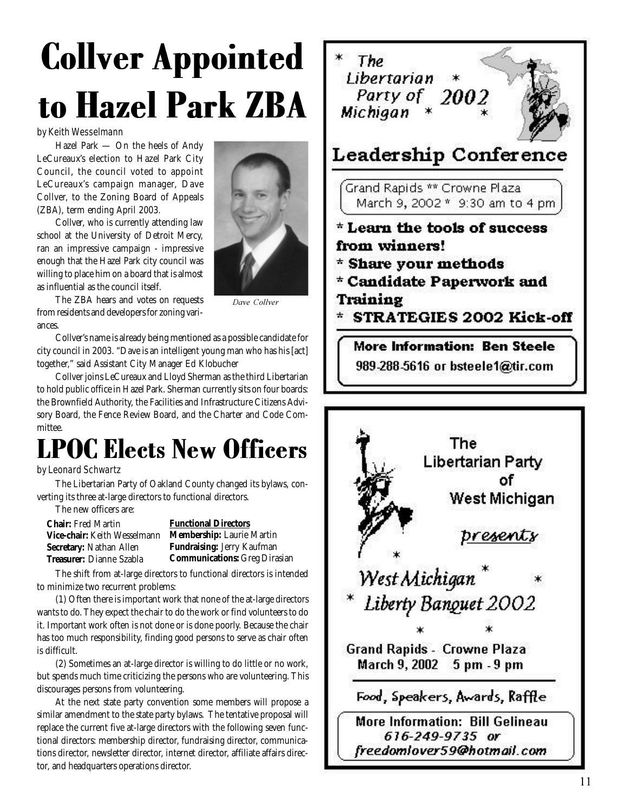## Collver Appointed to Hazel Park ZBA

## by Keith Wesselmann

Hazel Park — On the heels of Andy LeCureaux's election to Hazel Park City Council, the council voted to appoint LeCureaux's campaign manager, Dave Collver, to the Zoning Board of Appeals (ZBA), term ending April 2003.

Collver, who is currently attending law school at the University of Detroit Mercy, ran an impressive campaign - impressive enough that the Hazel Park city council was willing to place him on a board that is almost as influential as the council itself.

The ZBA hears and votes on requests from residents and developers for zoning variances.

Dave Collver

Collver's name is already being mentioned as a possible candidate for city council in 2003. "Dave is an intelligent young man who has his [act] together," said Assistant City Manager Ed Klobucher

Collver joins LeCureaux and Lloyd Sherman as the third Libertarian to hold public office in Hazel Park. Sherman currently sits on four boards: the Brownfield Authority, the Facilities and Infrastructure Citizens Advisory Board, the Fence Review Board, and the Charter and Code Committee.

## LPOC Elects New Officers

## by Leonard Schwartz

The Libertarian Party of Oakland County changed its bylaws, converting its three at-large directors to functional directors.

The new officers are:

**Chair:** Fred Martin **Vice-chair:** Keith Wesselmann **Secretary:** Nathan Allen **Treasurer:** Dianne Szabla

**Functional Directors**

**Membership:** Laurie Martin **Fundraising:** Jerry Kaufman **Communications:** Greg Dirasian

The shift from at-large directors to functional directors is intended to minimize two recurrent problems:

(1) Often there is important work that none of the at-large directors wants to do. They expect the chair to do the work or find volunteers to do it. Important work often is not done or is done poorly. Because the chair has too much responsibility, finding good persons to serve as chair often is difficult.

(2) Sometimes an at-large director is willing to do little or no work, but spends much time criticizing the persons who are volunteering. This discourages persons from volunteering.

At the next state party convention some members will propose a similar amendment to the state party bylaws. The tentative proposal will replace the current five at-large directors with the following seven functional directors: membership director, fundraising director, communications director, newsletter director, internet director, affiliate affairs director, and headquarters operations director.



٥f West Michigan presents West Michigan ^ Liberty Banquet 2002 **Grand Rapids - Crowne Plaza** March 9, 2002 5 pm - 9 pm Food, Speakers, Awards, Raffle More Information: Bill Gelineau 616-249-9735 or freedomlover59@hotmail.com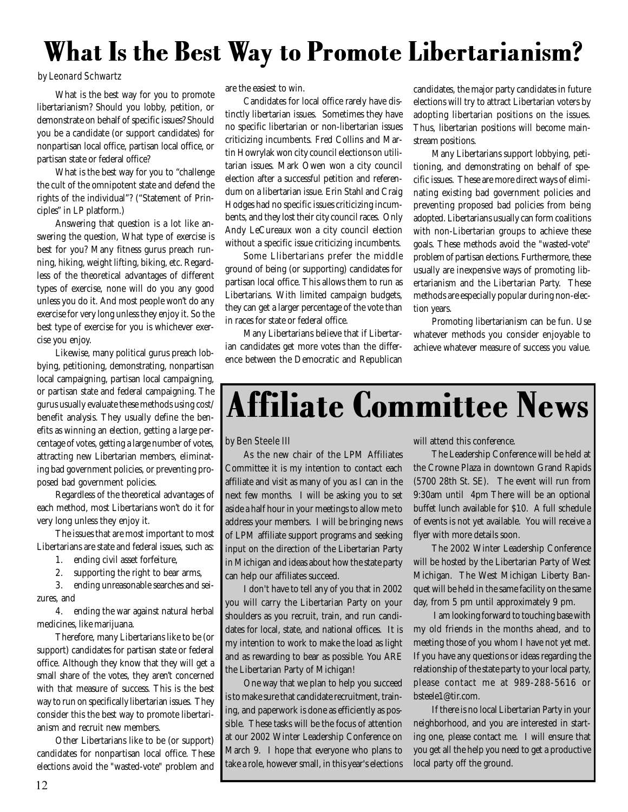## What Is the Best Way to Promote Libertarianism?

#### by Leonard Schwartz

What is the best way for you to promote libertarianism? Should you lobby, petition, or demonstrate on behalf of specific issues? Should you be a candidate (or support candidates) for nonpartisan local office, partisan local office, or partisan state or federal office?

What is the best way for you to "challenge the cult of the omnipotent state and defend the rights of the individual"? ("Statement of Principles" in LP platform.)

Answering that question is a lot like answering the question, What type of exercise is best for you? Many fitness gurus preach running, hiking, weight lifting, biking, etc. Regardless of the theoretical advantages of different types of exercise, none will do you any good unless you do it. And most people won't do any exercise for very long unless they enjoy it. So the best type of exercise for you is whichever exercise you enjoy.

Likewise, many political gurus preach lobbying, petitioning, demonstrating, nonpartisan local campaigning, partisan local campaigning, or partisan state and federal campaigning. The gurus usually evaluate these methods using cost/ benefit analysis. They usually define the benefits as winning an election, getting a large percentage of votes, getting a large number of votes, attracting new Libertarian members, eliminating bad government policies, or preventing proposed bad government policies.

Regardless of the theoretical advantages of each method, most Libertarians won't do it for very long unless they enjoy it.

The issues that are most important to most Libertarians are state and federal issues, such as:

- 1. ending civil asset forfeiture,
- 2. supporting the right to bear arms,

3. ending unreasonable searches and seizures, and

4. ending the war against natural herbal medicines, like marijuana.

Therefore, many Libertarians like to be (or support) candidates for partisan state or federal office. Although they know that they will get a small share of the votes, they aren't concerned with that measure of success. This is the best way to run on specifically libertarian issues. They consider this the best way to promote libertarianism and recruit new members.

Other Libertarians like to be (or support) candidates for nonpartisan local office. These elections avoid the "wasted-vote" problem and are the easiest to win.

Candidates for local office rarely have distinctly libertarian issues. Sometimes they have no specific libertarian or non-libertarian issues criticizing incumbents. Fred Collins and Martin Howrylak won city council elections on utilitarian issues. Mark Owen won a city council election after a successful petition and referendum on a libertarian issue. Erin Stahl and Craig Hodges had no specific issues criticizing incumbents, and they lost their city council races. Only Andy LeCureaux won a city council election without a specific issue criticizing incumbents.

Some Llibertarians prefer the middle ground of being (or supporting) candidates for partisan local office. This allows them to run as Libertarians. With limited campaign budgets, they can get a larger percentage of the vote than in races for state or federal office.

Many Libertarians believe that if Libertarian candidates get more votes than the difference between the Democratic and Republican candidates, the major party candidates in future elections will try to attract Libertarian voters by adopting libertarian positions on the issues. Thus, libertarian positions will become mainstream positions.

Many Libertarians support lobbying, petitioning, and demonstrating on behalf of specific issues. These are more direct ways of eliminating existing bad government policies and preventing proposed bad policies from being adopted. Libertarians usually can form coalitions with non-Libertarian groups to achieve these goals. These methods avoid the "wasted-vote" problem of partisan elections. Furthermore, these usually are inexpensive ways of promoting libertarianism and the Libertarian Party. These methods are especially popular during non-election years.

Promoting libertarianism can be fun. Use whatever methods you consider enjoyable to achieve whatever measure of success you value.

## Affiliate Committee News

### by Ben Steele III

As the new chair of the LPM Affiliates Committee it is my intention to contact each affiliate and visit as many of you as I can in the next few months. I will be asking you to set aside a half hour in your meetings to allow me to address your members. I will be bringing news of LPM affiliate support programs and seeking input on the direction of the Libertarian Party in Michigan and ideas about how the state party can help our affiliates succeed.

I don't have to tell any of you that in 2002 you will carry the Libertarian Party on your shoulders as you recruit, train, and run candidates for local, state, and national offices. It is my intention to work to make the load as light and as rewarding to bear as possible. You ARE the Libertarian Party of Michigan!

One way that we plan to help you succeed is to make sure that candidate recruitment, training, and paperwork is done as efficiently as possible. These tasks will be the focus of attention at our 2002 Winter Leadership Conference on March 9. I hope that everyone who plans to take a role, however small, in this year's elections will attend this conference.

The Leadership Conference will be held at the Crowne Plaza in downtown Grand Rapids (5700 28th St. SE). The event will run from 9:30am until 4pm There will be an optional buffet lunch available for \$10. A full schedule of events is not yet available. You will receive a flyer with more details soon.

The 2002 Winter Leadership Conference will be hosted by the Libertarian Party of West Michigan. The West Michigan Liberty Banquet will be held in the same facility on the same day, from 5 pm until approximately 9 pm.

 I am looking forward to touching base with my old friends in the months ahead, and to meeting those of you whom I have not yet met. If you have any questions or ideas regarding the relationship of the state party to your local party, please contact me at 989-288-5616 or bsteele1@tir.com.

If there is no local Libertarian Party in your neighborhood, and you are interested in starting one, please contact me. I will ensure that you get all the help you need to get a productive local party off the ground.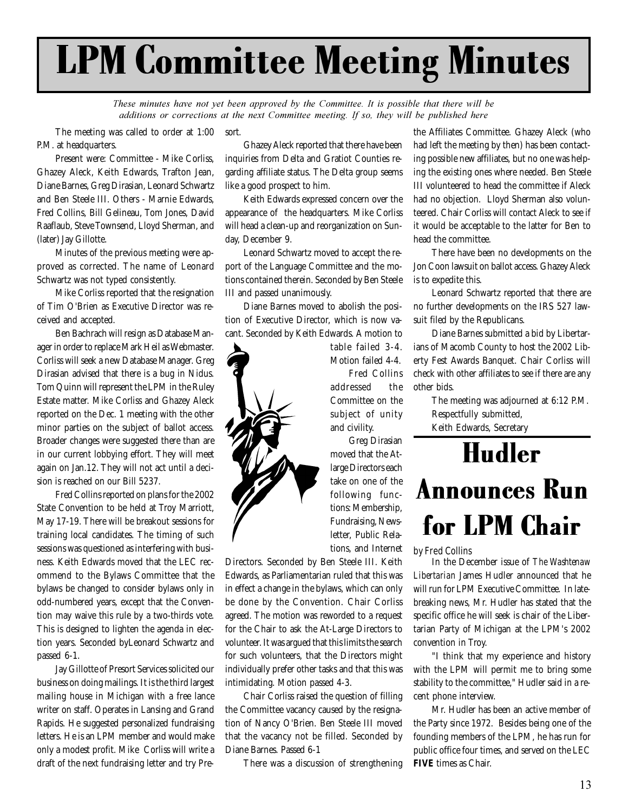## LPM Committee Meeting Minutes

*These minutes have not yet been approved by the Committee. It is possible that there will be additions or corrections at the next Committee meeting. If so, they will be published here* 

sort. The meeting was called to order at 1:00 P.M. at headquarters.

Present were: Committee - Mike Corliss, Ghazey Aleck, Keith Edwards, Trafton Jean, Diane Barnes, Greg Dirasian, Leonard Schwartz and Ben Steele III. Others - Marnie Edwards, Fred Collins, Bill Gelineau, Tom Jones, David Raaflaub, Steve Townsend, Lloyd Sherman, and (later) Jay Gillotte.

Minutes of the previous meeting were approved as corrected. The name of Leonard Schwartz was not typed consistently.

Mike Corliss reported that the resignation of Tim O'Brien as Executive Director was received and accepted.

Ben Bachrach will resign as Database Manager in order to replace Mark Heil as Webmaster. Corliss will seek a new Database Manager. Greg Dirasian advised that there is a bug in Nidus. Tom Quinn will represent the LPM in the Ruley Estate matter. Mike Corliss and Ghazey Aleck reported on the Dec. 1 meeting with the other minor parties on the subject of ballot access. Broader changes were suggested there than are in our current lobbying effort. They will meet again on Jan.12. They will not act until a decision is reached on our Bill 5237.

Fred Collins reported on plans for the 2002 State Convention to be held at Troy Marriott, May 17-19. There will be breakout sessions for training local candidates. The timing of such sessions was questioned as interfering with business. Keith Edwards moved that the LEC recommend to the Bylaws Committee that the bylaws be changed to consider bylaws only in odd-numbered years, except that the Convention may waive this rule by a two-thirds vote. This is designed to lighten the agenda in election years. Seconded byLeonard Schwartz and passed 6-1.

Jay Gillotte of Presort Services solicited our business on doing mailings. It is the third largest mailing house in Michigan with a free lance writer on staff. Operates in Lansing and Grand Rapids. He suggested personalized fundraising letters. He is an LPM member and would make only a modest profit. Mike Corliss will write a draft of the next fundraising letter and try Pre-

Ghazey Aleck reported that there have been inquiries from Delta and Gratiot Counties regarding affiliate status. The Delta group seems like a good prospect to him.

Keith Edwards expressed concern over the appearance of the headquarters. Mike Corliss will head a clean-up and reorganization on Sunday, December 9.

Leonard Schwartz moved to accept the report of the Language Committee and the motions contained therein. Seconded by Ben Steele III and passed unanimously.

Diane Barnes moved to abolish the position of Executive Director, which is now vacant. Seconded by Keith Edwards. A motion to



table failed 3-4. Motion failed 4-4. Fred Collins addressed the Committee on the subject of unity and civility.

Greg Dirasian moved that the Atlarge Directors each take on one of the following functions: Membership, Fundraising, Newsletter, Public Relations, and Internet

Directors. Seconded by Ben Steele III. Keith Edwards, as Parliamentarian ruled that this was in effect a change in the bylaws, which can only be done by the Convention. Chair Corliss agreed. The motion was reworded to a request for the Chair to ask the At-Large Directors to volunteer. It was argued that this limits the search for such volunteers, that the Directors might individually prefer other tasks and that this was intimidating. Motion passed 4-3.

Chair Corliss raised the question of filling the Committee vacancy caused by the resignation of Nancy O'Brien. Ben Steele III moved that the vacancy not be filled. Seconded by Diane Barnes. Passed 6-1

There was a discussion of strengthening

the Affiliates Committee. Ghazey Aleck (who had left the meeting by then) has been contacting possible new affiliates, but no one was helping the existing ones where needed. Ben Steele III volunteered to head the committee if Aleck had no objection. Lloyd Sherman also volunteered. Chair Corliss will contact Aleck to see if it would be acceptable to the latter for Ben to head the committee.

There have been no developments on the Jon Coon lawsuit on ballot access. Ghazey Aleck is to expedite this.

Leonard Schwartz reported that there are no further developments on the IRS 527 lawsuit filed by the Republicans.

Diane Barnes submitted a bid by Libertarians of Macomb County to host the 2002 Liberty Fest Awards Banquet. Chair Corliss will check with other affiliates to see if there are any other bids.

The meeting was adjourned at 6:12 P.M. Respectfully submitted, Keith Edwards, Secretary

## Hudler Announces Run for LPM Chair

#### by Fred Collins

In the December issue of *The Washtenaw Libertarian* James Hudler announced that he will run for LPM Executive Committee. In latebreaking news, Mr. Hudler has stated that the specific office he will seek is chair of the Libertarian Party of Michigan at the LPM's 2002 convention in Troy.

"I think that my experience and history with the LPM will permit me to bring some stability to the committee," Hudler said in a recent phone interview.

Mr. Hudler has been an active member of the Party since 1972. Besides being one of the founding members of the LPM, he has run for public office four times, and served on the LEC **FIVE** times as Chair.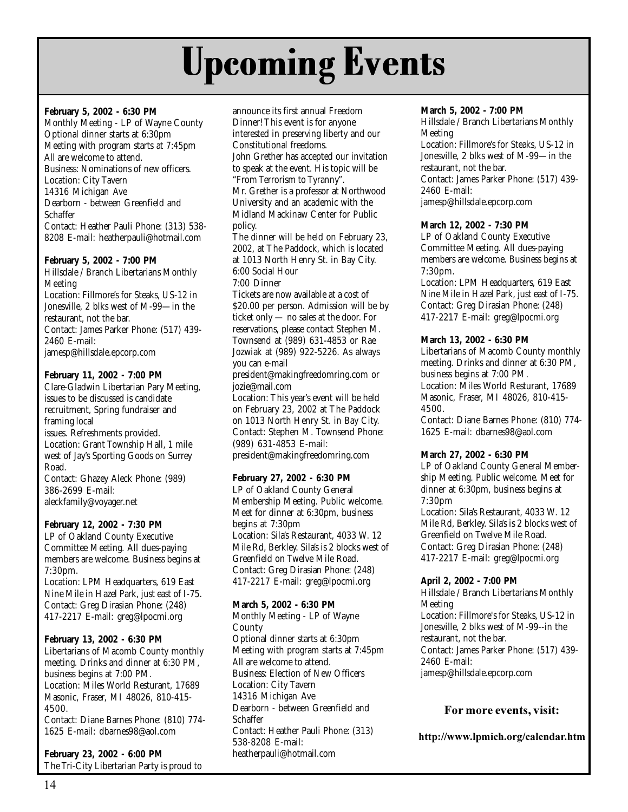## Upcoming Events

## **February 5, 2002 - 6:30 PM**

Monthly Meeting - LP of Wayne County Optional dinner starts at 6:30pm Meeting with program starts at 7:45pm All are welcome to attend. Business: Nominations of new officers. Location: City Tavern 14316 Michigan Ave Dearborn - between Greenfield and **Schaffer** Contact: Heather Pauli Phone: (313) 538- 8208 E-mail: heatherpauli@hotmail.com

### **February 5, 2002 - 7:00 PM**

Hillsdale / Branch Libertarians Monthly Meeting Location: Fillmore's for Steaks, US-12 in Jonesville, 2 blks west of M-99—in the restaurant, not the bar. Contact: James Parker Phone: (517) 439- 2460 E-mail: jamesp@hillsdale.epcorp.com

## **February 11, 2002 - 7:00 PM**

Clare-Gladwin Libertarian Pary Meeting, issues to be discussed is candidate recruitment, Spring fundraiser and framing local issues. Refreshments provided. Location: Grant Township Hall, 1 mile west of Jay's Sporting Goods on Surrey Road. Contact: Ghazey Aleck Phone: (989) 386-2699 E-mail: aleckfamily@voyager.net

**February 12, 2002 - 7:30 PM**

LP of Oakland County Executive Committee Meeting. All dues-paying members are welcome. Business begins at 7:30pm.

Location: LPM Headquarters, 619 East Nine Mile in Hazel Park, just east of I-75. Contact: Greg Dirasian Phone: (248) 417-2217 E-mail: greg@lpocmi.org

### **February 13, 2002 - 6:30 PM**

Libertarians of Macomb County monthly meeting. Drinks and dinner at 6:30 PM, business begins at 7:00 PM. Location: Miles World Resturant, 17689 Masonic, Fraser, MI 48026, 810-415- 4500.

Contact: Diane Barnes Phone: (810) 774- 1625 E-mail: dbarnes98@aol.com

**February 23, 2002 - 6:00 PM** The Tri-City Libertarian Party is proud to announce its first annual Freedom Dinner! This event is for anyone interested in preserving liberty and our Constitutional freedoms. John Grether has accepted our invitation to speak at the event. His topic will be "From Terrorism to Tyranny". Mr. Grether is a professor at Northwood University and an academic with the Midland Mackinaw Center for Public policy. The dinner will be held on February 23, 2002, at The Paddock, which is located at 1013 North Henry St. in Bay City. 6:00 Social Hour 7:00 Dinner Tickets are now available at a cost of \$20.00 per person. Admission will be by ticket only — no sales at the door. For reservations, please contact Stephen M. Townsend at (989) 631-4853 or Rae Jozwiak at (989) 922-5226. As always you can e-mail president@makingfreedomring.com or jozie@mail.com Location: This year's event will be held on February 23, 2002 at The Paddock on 1013 North Henry St. in Bay City.

Contact: Stephen M. Townsend Phone: (989) 631-4853 E-mail: president@makingfreedomring.com

## **February 27, 2002 - 6:30 PM**

LP of Oakland County General Membership Meeting. Public welcome. Meet for dinner at 6:30pm, business begins at 7:30pm Location: Sila's Restaurant, 4033 W. 12 Mile Rd, Berkley. Sila's is 2 blocks west of Greenfield on Twelve Mile Road. Contact: Greg Dirasian Phone: (248) 417-2217 E-mail: greg@lpocmi.org

### **March 5, 2002 - 6:30 PM**

Monthly Meeting - LP of Wayne County Optional dinner starts at 6:30pm Meeting with program starts at 7:45pm All are welcome to attend. Business: Election of New Officers Location: City Tavern 14316 Michigan Ave Dearborn - between Greenfield and **Schaffer** Contact: Heather Pauli Phone: (313) 538-8208 E-mail: heatherpauli@hotmail.com

## **March 5, 2002 - 7:00 PM**

Hillsdale / Branch Libertarians Monthly Meeting Location: Fillmore's for Steaks, US-12 in

Jonesville, 2 blks west of M-99—in the restaurant, not the bar. Contact: James Parker Phone: (517) 439- 2460 E-mail: jamesp@hillsdale.epcorp.com

**March 12, 2002 - 7:30 PM**

LP of Oakland County Executive Committee Meeting. All dues-paying members are welcome. Business begins at 7:30pm.

Location: LPM Headquarters, 619 East Nine Mile in Hazel Park, just east of I-75. Contact: Greg Dirasian Phone: (248) 417-2217 E-mail: greg@lpocmi.org

## **March 13, 2002 - 6:30 PM**

Libertarians of Macomb County monthly meeting. Drinks and dinner at 6:30 PM, business begins at 7:00 PM. Location: Miles World Resturant, 17689 Masonic, Fraser, MI 48026, 810-415- 4500.

Contact: Diane Barnes Phone: (810) 774- 1625 E-mail: dbarnes98@aol.com

## **March 27, 2002 - 6:30 PM**

LP of Oakland County General Membership Meeting. Public welcome. Meet for dinner at 6:30pm, business begins at 7:30pm Location: Sila's Restaurant, 4033 W. 12 Mile Rd, Berkley. Sila's is 2 blocks west of Greenfield on Twelve Mile Road. Contact: Greg Dirasian Phone: (248) 417-2217 E-mail: greg@lpocmi.org

## **April 2, 2002 - 7:00 PM**

Hillsdale / Branch Libertarians Monthly Meeting Location: Fillmore's for Steaks, US-12 in Jonesville, 2 blks west of M-99--in the restaurant, not the bar. Contact: James Parker Phone: (517) 439- 2460 E-mail: jamesp@hillsdale.epcorp.com

## $\bf{For more events, visit:}$

http://www.lpmich.org/calendar.htm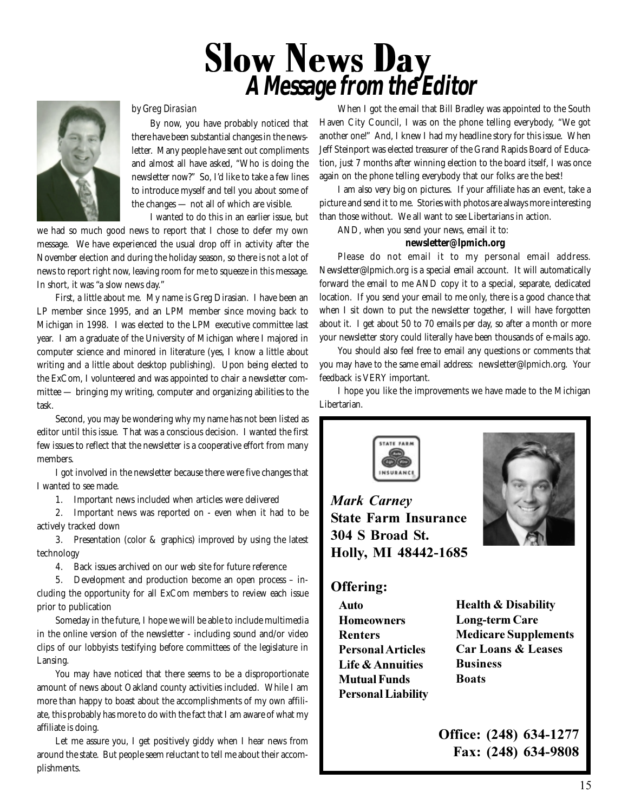# Slow News Day **A Message from the Editor**

#### by Greg Dirasian

By now, you have probably noticed that there have been substantial changes in the newsletter. Many people have sent out compliments and almost all have asked, "Who is doing the newsletter now?" So, I'd like to take a few lines to introduce myself and tell you about some of the changes — not all of which are visible.

I wanted to do this in an earlier issue, but

we had so much good news to report that I chose to defer my own message. We have experienced the usual drop off in activity after the November election and during the holiday season, so there is not a lot of news to report right now, leaving room for me to squeeze in this message. In short, it was "a slow news day."

First, a little about me. My name is Greg Dirasian. I have been an LP member since 1995, and an LPM member since moving back to Michigan in 1998. I was elected to the LPM executive committee last year. I am a graduate of the University of Michigan where I majored in computer science and minored in literature (yes, I know a little about writing and a little about desktop publishing). Upon being elected to the ExCom, I volunteered and was appointed to chair a newsletter committee — bringing my writing, computer and organizing abilities to the task.

Second, you may be wondering why my name has not been listed as editor until this issue. That was a conscious decision. I wanted the first few issues to reflect that the newsletter is a cooperative effort from many members.

I got involved in the newsletter because there were five changes that I wanted to see made.

1. Important news included when articles were delivered

2. Important news was reported on - even when it had to be actively tracked down

3. Presentation (color & graphics) improved by using the latest technology

4. Back issues archived on our web site for future reference

5. Development and production become an open process – including the opportunity for all ExCom members to review each issue prior to publication

Someday in the future, I hope we will be able to include multimedia in the online version of the newsletter - including sound and/or video clips of our lobbyists testifying before committees of the legislature in Lansing.

You may have noticed that there seems to be a disproportionate amount of news about Oakland county activities included. While I am more than happy to boast about the accomplishments of my own affiliate, this probably has more to do with the fact that I am aware of what my affiliate is doing.

Let me assure you, I get positively giddy when I hear news from around the state. But people seem reluctant to tell me about their accomplishments.

When I got the email that Bill Bradley was appointed to the South Haven City Council, I was on the phone telling everybody, "We got another one!" And, I knew I had my headline story for this issue. When Jeff Steinport was elected treasurer of the Grand Rapids Board of Education, just 7 months after winning election to the board itself, I was once again on the phone telling everybody that our folks are the best!

I am also very big on pictures. If your affiliate has an event, take a picture and send it to me. Stories with photos are always more interesting than those without. We all want to see Libertarians in action.

AND, when you send your news, email it to:

#### **newsletter@lpmich.org**

Please do not email it to my personal email address. Newsletter@lpmich.org is a special email account. It will automatically forward the email to me AND copy it to a special, separate, dedicated location. If you send your email to me only, there is a good chance that when I sit down to put the newsletter together, I will have forgotten about it. I get about 50 to 70 emails per day, so after a month or more your newsletter story could literally have been thousands of e-mails ago.

You should also feel free to email any questions or comments that you may have to the same email address: newsletter@lpmich.org. Your feedback is VERY important.

I hope you like the improvements we have made to the Michigan Libertarian.



*Mark Carnev* **State Farm Insurance** 304 S Broad St. **Holly, MI 48442-1685** 

## Offering:

Auto **Homeowners --& Personal Articles Life & Annuities Mutual Funds** Personal Liability

**Health & Disability** Long-term Care **Medicare Supplements**  $\alpha$  **Car Loans & Leases Business Boats** 

**Office:** (248) 634-1277 **Fax:** (248) 634-9808